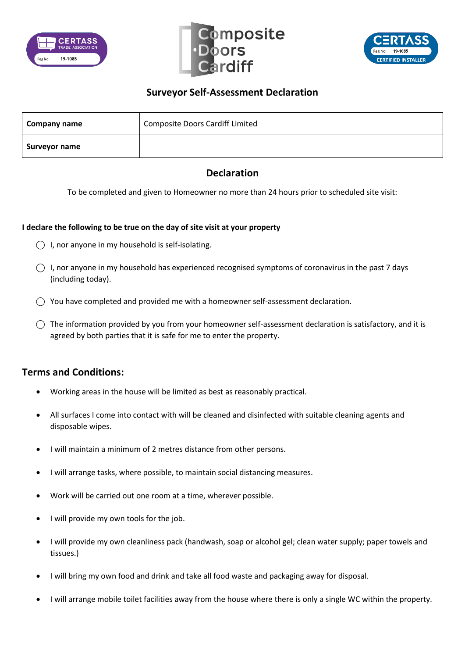





## **Surveyor Self-Assessment Declaration**

| Company name  | <b>Composite Doors Cardiff Limited</b> |
|---------------|----------------------------------------|
| Surveyor name |                                        |

## **Declaration**

To be completed and given to Homeowner no more than 24 hours prior to scheduled site visit:

## **I declare the following to be true on the day of site visit at your property**

- $\bigcap$  I, nor anyone in my household is self-isolating.
- $\bigcirc$  I, nor anyone in my household has experienced recognised symptoms of coronavirus in the past 7 days (including today).
- $\bigcirc$  You have completed and provided me with a homeowner self-assessment declaration.
- $\bigcirc$  The information provided by you from your homeowner self-assessment declaration is satisfactory, and it is agreed by both parties that it is safe for me to enter the property.

## **Terms and Conditions:**

- Working areas in the house will be limited as best as reasonably practical.
- All surfaces I come into contact with will be cleaned and disinfected with suitable cleaning agents and disposable wipes.
- I will maintain a minimum of 2 metres distance from other persons.
- I will arrange tasks, where possible, to maintain social distancing measures.
- Work will be carried out one room at a time, wherever possible.
- I will provide my own tools for the job.
- I will provide my own cleanliness pack (handwash, soap or alcohol gel; clean water supply; paper towels and tissues.)
- I will bring my own food and drink and take all food waste and packaging away for disposal.
- I will arrange mobile toilet facilities away from the house where there is only a single WC within the property.